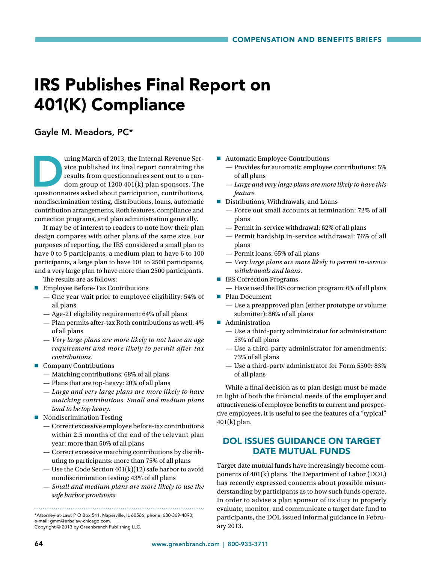## IRS Publishes Final Report on 401(K) Compliance

## Gayle M. Meadors, PC\*

uring March of 2013, the Internal Revenue Service published its final report containing the results from questionnaires sent out to a random group of 1200 401(k) plan sponsors. The questionnaires asked about participation, vice published its final report containing the results from questionnaires sent out to a random group of 1200 401(k) plan sponsors. The nondiscrimination testing, distributions, loans, automatic contribution arrangements, Roth features, compliance and correction programs, and plan administration generally.

It may be of interest to readers to note how their plan design compares with other plans of the same size. For purposes of reporting, the IRS considered a small plan to have 0 to 5 participants, a medium plan to have 6 to 100 participants, a large plan to have 101 to 2500 participants, and a very large plan to have more than 2500 participants.

The results are as follows:

- **Employee Before-Tax Contributions** 
	- One year wait prior to employee eligibility: 54% of all plans
	- Age-21 eligibility requirement: 64% of all plans
	- Plan permits after-tax Roth contributions as well: 4% of all plans
	- *Very large plans are more likely to not have an age requirement and more likely to permit after-tax contributions.*
- Company Contributions
	- Matching contributions: 68% of all plans
	- Plans that are top-heavy: 20% of all plans
	- *Large and very large plans are more likely to have matching contributions. Small and medium plans tend to be top heavy.*
- **Nondiscrimination Testing** 
	- Correct excessive employee before-tax contributions within 2.5 months of the end of the relevant plan year: more than 50% of all plans
	- Correct excessive matching contributions by distributing to participants: more than 75% of all plans
	- Use the Code Section 401(k)(12) safe harbor to avoid nondiscrimination testing: 43% of all plans
	- *Small and medium plans are more likely to use the safe harbor provisions.*

\*Attorney-at-Law; P O Box 541, Naperville, IL 60566; phone: 630-369-4890; e-mail: gmm@erisalaw-chicago.com.

Copyright © 2013 by Greenbranch Publishing LLC.

- Automatic Employee Contributions
	- Provides for automatic employee contributions: 5% of all plans
	- *Large and very large plans are more likely to have this feature.*
- Distributions, Withdrawals, and Loans
	- Force out small accounts at termination: 72% of all plans
	- Permit in-service withdrawal: 62% of all plans
	- Permit hardship in-service withdrawal: 76% of all plans
	- Permit loans: 65% of all plans
	- *Very large plans are more likely to permit in-service withdrawals and loans.*
- **FIRS Correction Programs** 
	- Have used the IRS correction program: 6% of all plans
- Plan Document
	- Use a preapproved plan (either prototype or volume submitter): 86% of all plans
- **Administration** 
	- Use a third-party administrator for administration: 53% of all plans
	- Use a third-party administrator for amendments: 73% of all plans
	- Use a third-party administrator for Form 5500: 83% of all plans

While a final decision as to plan design must be made in light of both the financial needs of the employer and attractiveness of employee benefits to current and prospective employees, it is useful to see the features of a "typical" 401(k) plan.

## DOL ISSUES GUIDANCE ON TARGET DATE MUTUAL FUNDS

Target date mutual funds have increasingly become components of 401(k) plans. The Department of Labor (DOL) has recently expressed concerns about possible misunderstanding by participants as to how such funds operate. In order to advise a plan sponsor of its duty to properly evaluate, monitor, and communicate a target date fund to participants, the DOL issued informal guidance in February 2013.